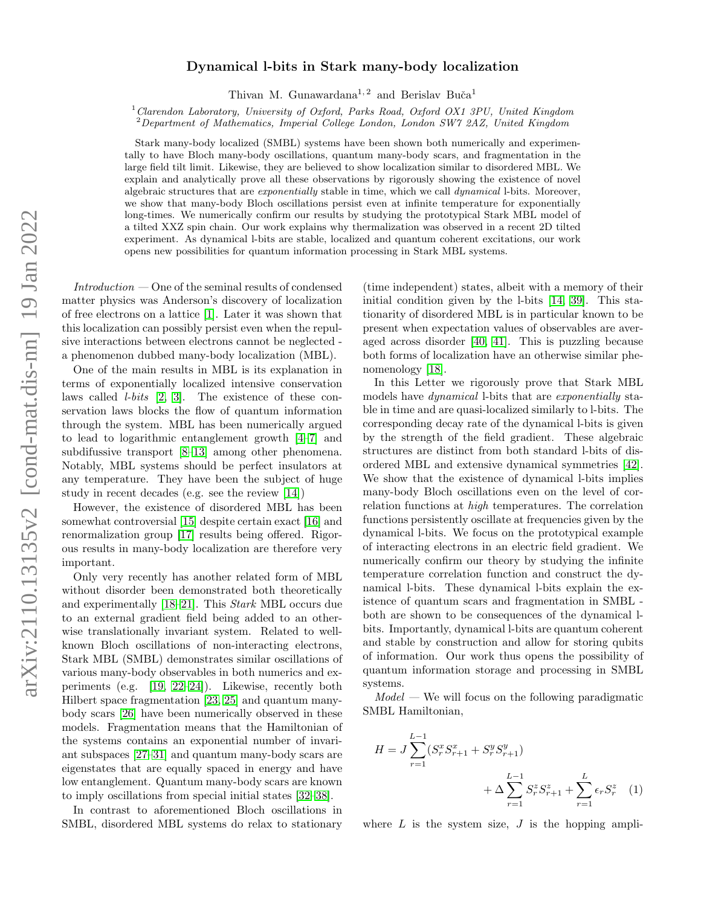### Dynamical l-bits in Stark many-body localization

Thivan M. Gunawardana<sup>1, 2</sup> and Berislav Buča<sup>1</sup>

 $1$  Clarendon Laboratory, University of Oxford, Parks Road, Oxford OX1 3PU, United Kingdom

<sup>2</sup>Department of Mathematics, Imperial College London, London SW7 2AZ, United Kingdom

Stark many-body localized (SMBL) systems have been shown both numerically and experimentally to have Bloch many-body oscillations, quantum many-body scars, and fragmentation in the large field tilt limit. Likewise, they are believed to show localization similar to disordered MBL. We explain and analytically prove all these observations by rigorously showing the existence of novel algebraic structures that are exponentially stable in time, which we call dynamical l-bits. Moreover, we show that many-body Bloch oscillations persist even at infinite temperature for exponentially long-times. We numerically confirm our results by studying the prototypical Stark MBL model of a tilted XXZ spin chain. Our work explains why thermalization was observed in a recent 2D tilted experiment. As dynamical l-bits are stable, localized and quantum coherent excitations, our work opens new possibilities for quantum information processing in Stark MBL systems.

 $Introduction - One$  of the seminal results of condensed matter physics was Anderson's discovery of localization of free electrons on a lattice [\[1\]](#page-4-0). Later it was shown that this localization can possibly persist even when the repulsive interactions between electrons cannot be neglected a phenomenon dubbed many-body localization (MBL).

One of the main results in MBL is its explanation in terms of exponentially localized intensive conservation laws called l-bits [\[2,](#page-4-1) [3\]](#page-4-2). The existence of these conservation laws blocks the flow of quantum information through the system. MBL has been numerically argued to lead to logarithmic entanglement growth [\[4](#page-4-3)[–7\]](#page-4-4) and subdifussive transport [\[8–](#page-4-5)[13\]](#page-4-6) among other phenomena. Notably, MBL systems should be perfect insulators at any temperature. They have been the subject of huge study in recent decades (e.g. see the review [\[14\]](#page-4-7))

However, the existence of disordered MBL has been somewhat controversial [\[15\]](#page-4-8) despite certain exact [\[16\]](#page-4-9) and renormalization group [\[17\]](#page-4-10) results being offered. Rigorous results in many-body localization are therefore very important.

Only very recently has another related form of MBL without disorder been demonstrated both theoretically and experimentally [\[18](#page-4-11)[–21\]](#page-4-12). This Stark MBL occurs due to an external gradient field being added to an otherwise translationally invariant system. Related to wellknown Bloch oscillations of non-interacting electrons, Stark MBL (SMBL) demonstrates similar oscillations of various many-body observables in both numerics and experiments (e.g. [\[19,](#page-4-13) [22–](#page-4-14)[24\]](#page-4-15)). Likewise, recently both Hilbert space fragmentation [\[23,](#page-4-16) [25\]](#page-5-0) and quantum manybody scars [\[26\]](#page-5-1) have been numerically observed in these models. Fragmentation means that the Hamiltonian of the systems contains an exponential number of invariant subspaces [\[27–](#page-5-2)[31\]](#page-5-3) and quantum many-body scars are eigenstates that are equally spaced in energy and have low entanglement. Quantum many-body scars are known to imply oscillations from special initial states [\[32–](#page-5-4)[38\]](#page-5-5).

In contrast to aforementioned Bloch oscillations in SMBL, disordered MBL systems do relax to stationary

(time independent) states, albeit with a memory of their initial condition given by the l-bits [\[14,](#page-4-7) [39\]](#page-5-6). This stationarity of disordered MBL is in particular known to be present when expectation values of observables are averaged across disorder [\[40,](#page-5-7) [41\]](#page-5-8). This is puzzling because both forms of localization have an otherwise similar phenomenology [\[18\]](#page-4-11).

In this Letter we rigorously prove that Stark MBL models have dynamical l-bits that are exponentially stable in time and are quasi-localized similarly to l-bits. The corresponding decay rate of the dynamical l-bits is given by the strength of the field gradient. These algebraic structures are distinct from both standard l-bits of disordered MBL and extensive dynamical symmetries [\[42\]](#page-5-9). We show that the existence of dynamical l-bits implies many-body Bloch oscillations even on the level of correlation functions at high temperatures. The correlation functions persistently oscillate at frequencies given by the dynamical l-bits. We focus on the prototypical example of interacting electrons in an electric field gradient. We numerically confirm our theory by studying the infinite temperature correlation function and construct the dynamical l-bits. These dynamical l-bits explain the existence of quantum scars and fragmentation in SMBL both are shown to be consequences of the dynamical lbits. Importantly, dynamical l-bits are quantum coherent and stable by construction and allow for storing qubits of information. Our work thus opens the possibility of quantum information storage and processing in SMBL systems.

 $Model$  — We will focus on the following paradigmatic SMBL Hamiltonian,

<span id="page-0-0"></span>
$$
H = J \sum_{r=1}^{L-1} (S_r^x S_{r+1}^x + S_r^y S_{r+1}^y) + \Delta \sum_{r=1}^{L-1} S_r^z S_{r+1}^z + \sum_{r=1}^{L} \epsilon_r S_r^z \quad (1)
$$

where  $L$  is the system size,  $J$  is the hopping ampli-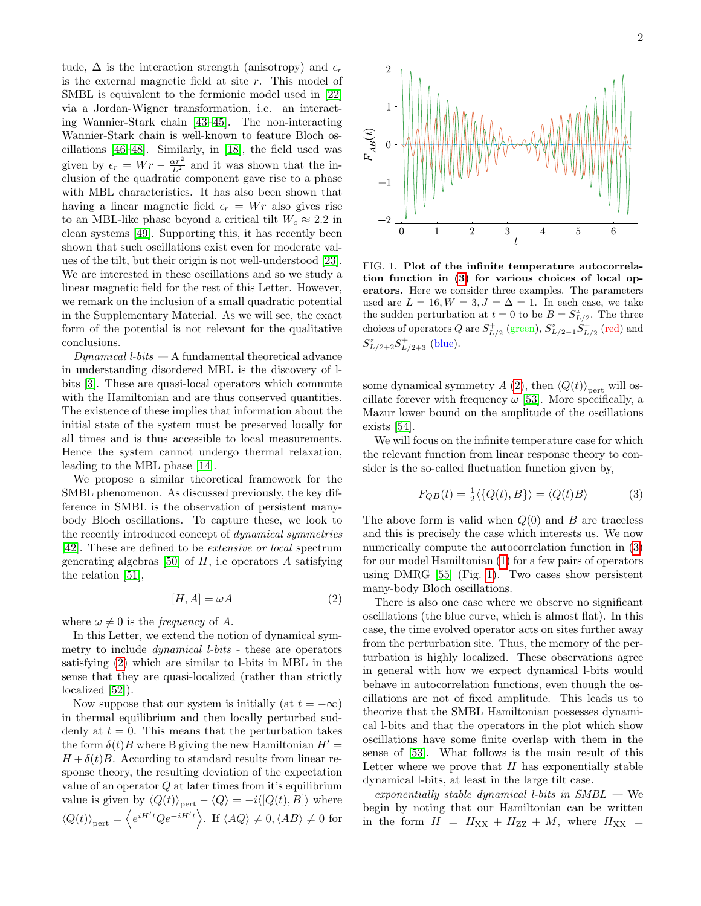tude,  $\Delta$  is the interaction strength (anisotropy) and  $\epsilon_r$ is the external magnetic field at site r. This model of SMBL is equivalent to the fermionic model used in [\[22\]](#page-4-14) via a Jordan-Wigner transformation, i.e. an interacting Wannier-Stark chain [\[43](#page-5-10)[–45\]](#page-5-11). The non-interacting Wannier-Stark chain is well-known to feature Bloch oscillations [\[46–](#page-5-12)[48\]](#page-5-13). Similarly, in [\[18\]](#page-4-11), the field used was given by  $\epsilon_r = Wr - \frac{\alpha r^2}{L^2}$  and it was shown that the inclusion of the quadratic component gave rise to a phase with MBL characteristics. It has also been shown that having a linear magnetic field  $\epsilon_r = Wr$  also gives rise to an MBL-like phase beyond a critical tilt  $W_c \approx 2.2$  in clean systems [\[49\]](#page-5-14). Supporting this, it has recently been shown that such oscillations exist even for moderate values of the tilt, but their origin is not well-understood [\[23\]](#page-4-16). We are interested in these oscillations and so we study a linear magnetic field for the rest of this Letter. However, we remark on the inclusion of a small quadratic potential in the Supplementary Material. As we will see, the exact form of the potential is not relevant for the qualitative conclusions.

 $Dynamic$ l l-bits  $-$  A fundamental theoretical advance in understanding disordered MBL is the discovery of lbits [\[3\]](#page-4-2). These are quasi-local operators which commute with the Hamiltonian and are thus conserved quantities. The existence of these implies that information about the initial state of the system must be preserved locally for all times and is thus accessible to local measurements. Hence the system cannot undergo thermal relaxation, leading to the MBL phase [\[14\]](#page-4-7).

We propose a similar theoretical framework for the SMBL phenomenon. As discussed previously, the key difference in SMBL is the observation of persistent manybody Bloch oscillations. To capture these, we look to the recently introduced concept of dynamical symmetries [\[42\]](#page-5-9). These are defined to be extensive or local spectrum generating algebras [\[50\]](#page-5-15) of  $H$ , i.e operators  $A$  satisfying the relation [\[51\]](#page-5-16),

<span id="page-1-0"></span>
$$
[H, A] = \omega A \tag{2}
$$

where  $\omega \neq 0$  is the *frequency* of A.

In this Letter, we extend the notion of dynamical symmetry to include dynamical l-bits - these are operators satisfying [\(2\)](#page-1-0) which are similar to l-bits in MBL in the sense that they are quasi-localized (rather than strictly localized [\[52\]](#page-5-17)).

Now suppose that our system is initially (at  $t = -\infty$ ) in thermal equilibrium and then locally perturbed suddenly at  $t = 0$ . This means that the perturbation takes the form  $\delta(t)B$  where B giving the new Hamiltonian  $H' =$  $H + \delta(t)B$ . According to standard results from linear response theory, the resulting deviation of the expectation value of an operator  $Q$  at later times from it's equilibrium value is given by  $\langle Q(t) \rangle_{\text{pert}} - \langle Q \rangle = -i \langle [Q(t), B] \rangle$  where  $\langle Q(t) \rangle_{\text{pert}} = \langle e^{iH't} Q e^{-iH't} \rangle$ . If  $\langle AQ \rangle \neq 0, \langle AB \rangle \neq 0$  for



<span id="page-1-2"></span>FIG. 1. Plot of the infinite temperature autocorrelation function in [\(3\)](#page-1-1) for various choices of local operators. Here we consider three examples. The parameters used are  $L = 16, W = 3, J = \Delta = 1$ . In each case, we take the sudden perturbation at  $t = 0$  to be  $B = S_{L/2}^x$ . The three choices of operators  $Q$  are  $S^{+}_{L/2}$  (green),  $S^{z}_{L/2-1}S^{+}_{L/2}$  (red) and  $S_{L/2+2}^z S_{L/2+3}^+$  (blue).

some dynamical symmetry A [\(2\)](#page-1-0), then  $\langle Q(t) \rangle_{\text{pert}}$  will oscillate forever with frequency  $\omega$  [\[53\]](#page-5-18). More specifically, a Mazur lower bound on the amplitude of the oscillations exists [\[54\]](#page-5-19).

We will focus on the infinite temperature case for which the relevant function from linear response theory to consider is the so-called fluctuation function given by,

<span id="page-1-1"></span>
$$
F_{QB}(t) = \frac{1}{2} \langle \{Q(t), B\} \rangle = \langle Q(t)B \rangle \tag{3}
$$

The above form is valid when  $Q(0)$  and B are traceless and this is precisely the case which interests us. We now numerically compute the autocorrelation function in [\(3\)](#page-1-1) for our model Hamiltonian [\(1\)](#page-0-0) for a few pairs of operators using DMRG [\[55\]](#page-5-20) (Fig. [1\)](#page-1-2). Two cases show persistent many-body Bloch oscillations.

There is also one case where we observe no significant oscillations (the blue curve, which is almost flat). In this case, the time evolved operator acts on sites further away from the perturbation site. Thus, the memory of the perturbation is highly localized. These observations agree in general with how we expect dynamical l-bits would behave in autocorrelation functions, even though the oscillations are not of fixed amplitude. This leads us to theorize that the SMBL Hamiltonian possesses dynamical l-bits and that the operators in the plot which show oscillations have some finite overlap with them in the sense of [\[53\]](#page-5-18). What follows is the main result of this Letter where we prove that  $H$  has exponentially stable dynamical l-bits, at least in the large tilt case.

exponentially stable dynamical l-bits in  $SMBL$  — We begin by noting that our Hamiltonian can be written in the form  $H = H_{XX} + H_{ZZ} + M$ , where  $H_{XX} =$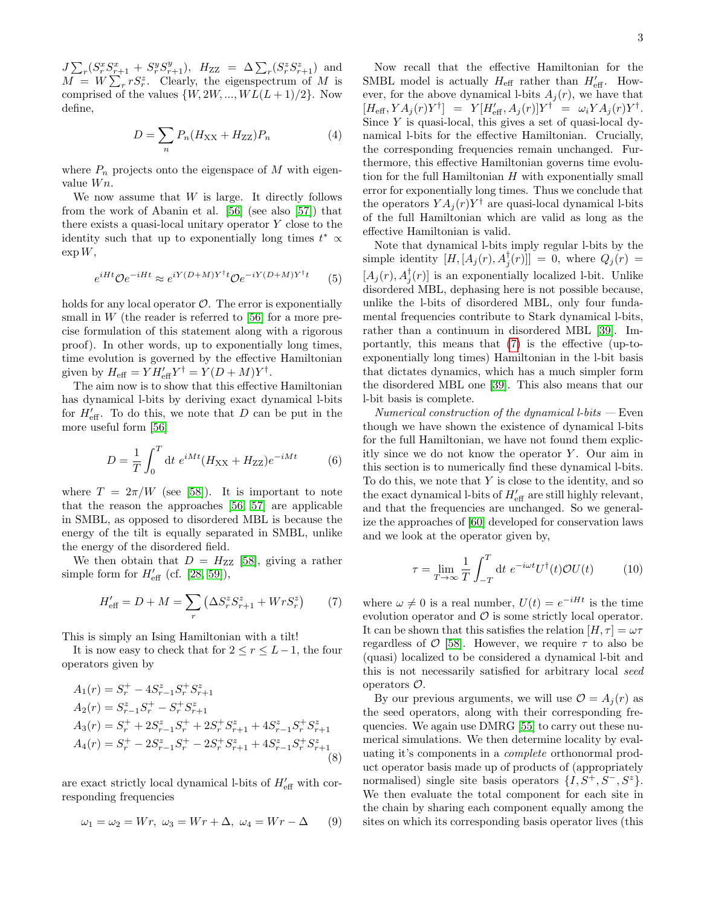$J\sum_{r}(S_{r}^{x}S_{r+1}^{x} + S_{r}^{y}S_{r+1}^{y}), H_{ZZ} = \Delta \sum_{r}(S_{r}^{z}S_{r+1}^{z})$  and  $M = W \sum_{r} r S_r^z$ . Clearly, the eigenspectrum of M is comprised of the values  $\{W, 2W, ..., WL(L+1)/2\}$ . Now define,

<span id="page-2-2"></span>
$$
D = \sum_{n} P_n (H_{\rm XX} + H_{\rm ZZ}) P_n \tag{4}
$$

where  $P_n$  projects onto the eigenspace of M with eigenvalue  $Wn$ .

We now assume that  $W$  is large. It directly follows from the work of Abanin et al. [\[56\]](#page-5-21) (see also [\[57\]](#page-5-22)) that there exists a quasi-local unitary operator  $Y$  close to the identity such that up to exponentially long times  $t^* \propto$  $\exp W$ ,

$$
e^{iHt} \mathcal{O}e^{-iHt} \approx e^{iY(D+M)Y^{\dagger}t} \mathcal{O}e^{-iY(D+M)Y^{\dagger}t}
$$
 (5)

holds for any local operator  $\mathcal{O}$ . The error is exponentially small in  $W$  (the reader is referred to [\[56\]](#page-5-21) for a more precise formulation of this statement along with a rigorous proof). In other words, up to exponentially long times, time evolution is governed by the effective Hamiltonian given by  $H_{\text{eff}} = Y H'_{\text{eff}} Y^{\dagger} = Y (D + M) Y^{\dagger}$ .

The aim now is to show that this effective Hamiltonian has dynamical l-bits by deriving exact dynamical l-bits for  $H'_{\text{eff}}$ . To do this, we note that D can be put in the more useful form [\[56\]](#page-5-21)

<span id="page-2-3"></span>
$$
D = \frac{1}{T} \int_0^T dt \ e^{iMt} (H_{\rm XX} + H_{\rm ZZ}) e^{-iMt} \tag{6}
$$

where  $T = 2\pi/W$  (see [\[58\]](#page-5-23)). It is important to note that the reason the approaches [\[56,](#page-5-21) [57\]](#page-5-22) are applicable in SMBL, as opposed to disordered MBL is because the energy of the tilt is equally separated in SMBL, unlike the energy of the disordered field.

We then obtain that  $D = H_{ZZ}$  [\[58\]](#page-5-23), giving a rather simple form for  $H'_{\text{eff}}$  (cf. [\[28,](#page-5-24) [59\]](#page-5-25)),

<span id="page-2-0"></span>
$$
H'_{\text{eff}} = D + M = \sum_{r} \left( \Delta S_r^z S_{r+1}^z + W r S_r^z \right) \tag{7}
$$

This is simply an Ising Hamiltonian with a tilt!

It is now easy to check that for  $2 \le r \le L-1$ , the four operators given by

$$
A_1(r) = S_r^+ - 4S_{r-1}^z S_r^+ S_{r+1}^z
$$
  
\n
$$
A_2(r) = S_{r-1}^z S_r^+ - S_r^+ S_{r+1}^z
$$
  
\n
$$
A_3(r) = S_r^+ + 2S_{r-1}^z S_r^+ + 2S_r^+ S_{r+1}^z + 4S_{r-1}^z S_r^+ S_{r+1}^z
$$
  
\n
$$
A_4(r) = S_r^+ - 2S_{r-1}^z S_r^+ - 2S_r^+ S_{r+1}^z + 4S_{r-1}^z S_r^+ S_{r+1}^z
$$
  
\n(8)

are exact strictly local dynamical l-bits of  $H_{\text{eff}}'$  with corresponding frequencies

$$
\omega_1 = \omega_2 = Wr, \ \omega_3 = Wr + \Delta, \ \omega_4 = Wr - \Delta \qquad (9)
$$

Now recall that the effective Hamiltonian for the SMBL model is actually  $H_{\text{eff}}$  rather than  $H'_{\text{eff}}$ . However, for the above dynamical l-bits  $A_i(r)$ , we have that  $[H_{\text{eff}}, YA_j(r)Y^{\dagger}] = Y[H'_{\text{eff}}, A_j(r)]Y^{\dagger} = \omega_i YA_j(r)Y^{\dagger}.$ Since  $Y$  is quasi-local, this gives a set of quasi-local dynamical l-bits for the effective Hamiltonian. Crucially, the corresponding frequencies remain unchanged. Furthermore, this effective Hamiltonian governs time evolution for the full Hamiltonian  $H$  with exponentially small error for exponentially long times. Thus we conclude that the operators  $YA_j(r)Y^{\dagger}$  are quasi-local dynamical l-bits of the full Hamiltonian which are valid as long as the effective Hamiltonian is valid.

Note that dynamical l-bits imply regular l-bits by the simple identity  $[H, [A_j(r), A_j^{\dagger}(r)]] = 0$ , where  $Q_j(r) =$  $[A_j(r), A_j^{\dagger}(r)]$  is an exponentially localized l-bit. Unlike disordered MBL, dephasing here is not possible because, unlike the l-bits of disordered MBL, only four fundamental frequencies contribute to Stark dynamical l-bits, rather than a continuum in disordered MBL [\[39\]](#page-5-6). Importantly, this means that [\(7\)](#page-2-0) is the effective (up-toexponentially long times) Hamiltonian in the l-bit basis that dictates dynamics, which has a much simpler form the disordered MBL one [\[39\]](#page-5-6). This also means that our l-bit basis is complete.

 $Numerical construction of the dynamical l-bits - Even$ though we have shown the existence of dynamical l-bits for the full Hamiltonian, we have not found them explicitly since we do not know the operator  $Y$ . Our aim in this section is to numerically find these dynamical l-bits. To do this, we note that  $Y$  is close to the identity, and so the exact dynamical l-bits of  $H'_{\text{eff}}$  are still highly relevant, and that the frequencies are unchanged. So we generalize the approaches of [\[60\]](#page-5-26) developed for conservation laws and we look at the operator given by,

<span id="page-2-1"></span>
$$
\tau = \lim_{T \to \infty} \frac{1}{T} \int_{-T}^{T} dt \ e^{-i\omega t} U^{\dagger}(t) \mathcal{O}U(t) \tag{10}
$$

where  $\omega \neq 0$  is a real number,  $U(t) = e^{-iHt}$  is the time evolution operator and  $\mathcal O$  is some strictly local operator. It can be shown that this satisfies the relation  $[H, \tau] = \omega \tau$ regardless of  $\mathcal{O}$  [\[58\]](#page-5-23). However, we require  $\tau$  to also be (quasi) localized to be considered a dynamical l-bit and this is not necessarily satisfied for arbitrary local seed operators O.

By our previous arguments, we will use  $\mathcal{O} = A_i(r)$  as the seed operators, along with their corresponding frequencies. We again use DMRG [\[55\]](#page-5-20) to carry out these numerical simulations. We then determine locality by evaluating it's components in a complete orthonormal product operator basis made up of products of (appropriately normalised) single site basis operators  $\{I, S^+, S^-, S^z\}.$ We then evaluate the total component for each site in the chain by sharing each component equally among the sites on which its corresponding basis operator lives (this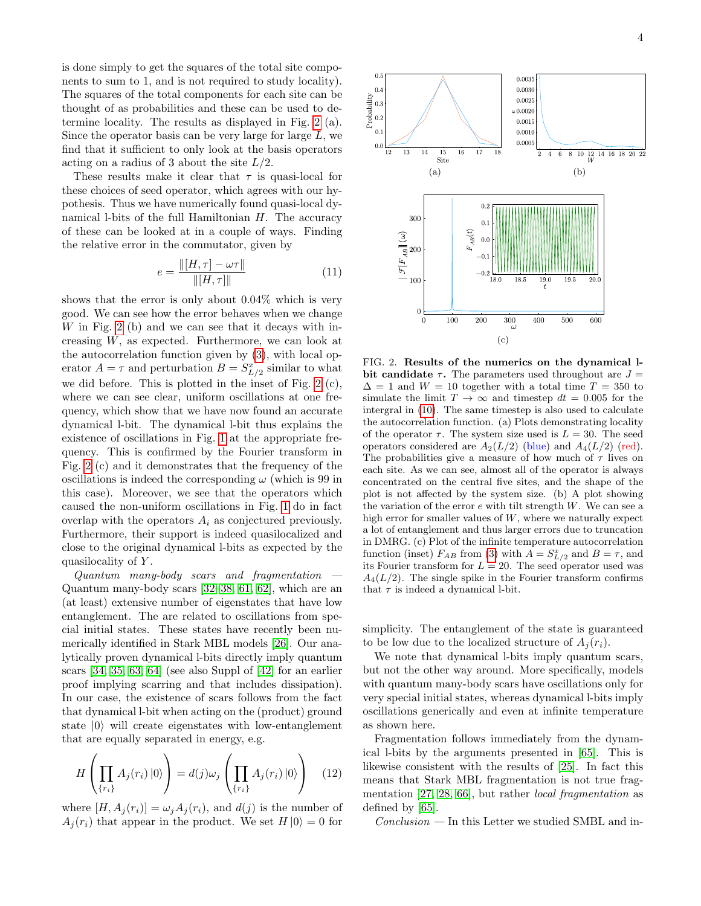is done simply to get the squares of the total site components to sum to 1, and is not required to study locality). The squares of the total components for each site can be thought of as probabilities and these can be used to determine locality. The results as displayed in Fig. [2](#page-3-0) (a). Since the operator basis can be very large for large  $L$ , we find that it sufficient to only look at the basis operators acting on a radius of 3 about the site  $L/2$ .

These results make it clear that  $\tau$  is quasi-local for these choices of seed operator, which agrees with our hypothesis. Thus we have numerically found quasi-local dynamical l-bits of the full Hamiltonian  $H$ . The accuracy of these can be looked at in a couple of ways. Finding the relative error in the commutator, given by

$$
e = \frac{\| [H, \tau] - \omega \tau \|}{\| [H, \tau] \|} \tag{11}
$$

shows that the error is only about 0.04% which is very good. We can see how the error behaves when we change  $W$  in Fig. [2](#page-3-0) (b) and we can see that it decays with increasing W, as expected. Furthermore, we can look at the autocorrelation function given by [\(3\)](#page-1-1), with local operator  $A = \tau$  and perturbation  $B = S_{L/2}^x$  similar to what we did before. This is plotted in the inset of Fig. [2](#page-3-0) (c), where we can see clear, uniform oscillations at one frequency, which show that we have now found an accurate dynamical l-bit. The dynamical l-bit thus explains the existence of oscillations in Fig. [1](#page-1-2) at the appropriate frequency. This is confirmed by the Fourier transform in Fig. [2](#page-3-0) (c) and it demonstrates that the frequency of the oscillations is indeed the corresponding  $\omega$  (which is 99 in this case). Moreover, we see that the operators which caused the non-uniform oscillations in Fig. [1](#page-1-2) do in fact overlap with the operators  $A_i$  as conjectured previously. Furthermore, their support is indeed quasilocalized and close to the original dynamical l-bits as expected by the quasilocality of Y.

 $Quantum$  many-body scars and fragmentation  $-$ Quantum many-body scars [\[32–](#page-5-4)[38,](#page-5-5) [61,](#page-5-27) [62\]](#page-5-28), which are an (at least) extensive number of eigenstates that have low entanglement. The are related to oscillations from special initial states. These states have recently been numerically identified in Stark MBL models [\[26\]](#page-5-1). Our analytically proven dynamical l-bits directly imply quantum scars [\[34,](#page-5-29) [35,](#page-5-30) [63,](#page-5-31) [64\]](#page-5-32) (see also Suppl of [\[42\]](#page-5-9) for an earlier proof implying scarring and that includes dissipation). In our case, the existence of scars follows from the fact that dynamical l-bit when acting on the (product) ground state  $|0\rangle$  will create eigenstates with low-entanglement that are equally separated in energy, e.g.

$$
H\left(\prod_{\{r_i\}} A_j(r_i) \,|0\rangle\right) = d(j)\omega_j \left(\prod_{\{r_i\}} A_j(r_i) \,|0\rangle\right) \quad (12)
$$

where  $[H, A_i(r_i)] = \omega_i A_i(r_i)$ , and  $d(j)$  is the number of  $A_i(r_i)$  that appear in the product. We set  $H |0\rangle = 0$  for



<span id="page-3-0"></span>FIG. 2. Results of the numerics on the dynamical lbit candidate  $\tau$ . The parameters used throughout are  $J =$  $\Delta = 1$  and  $W = 10$  together with a total time  $T = 350$  to simulate the limit  $T \to \infty$  and timestep  $dt = 0.005$  for the intergral in [\(10\)](#page-2-1). The same timestep is also used to calculate the autocorrelation function. (a) Plots demonstrating locality of the operator  $\tau$ . The system size used is  $L = 30$ . The seed operators considered are  $A_2(L/2)$  (blue) and  $A_4(L/2)$  (red). The probabilities give a measure of how much of  $\tau$  lives on each site. As we can see, almost all of the operator is always concentrated on the central five sites, and the shape of the plot is not affected by the system size. (b) A plot showing the variation of the error  $e$  with tilt strength  $W$ . We can see a high error for smaller values of  $W$ , where we naturally expect a lot of entanglement and thus larger errors due to truncation in DMRG. (c) Plot of the infinite temperature autocorrelation function (inset)  $F_{AB}$  from [\(3\)](#page-1-1) with  $A = S_{L/2}^x$  and  $B = \tau$ , and its Fourier transform for  $L = 20$ . The seed operator used was  $A_4(L/2)$ . The single spike in the Fourier transform confirms that  $\tau$  is indeed a dynamical l-bit.

simplicity. The entanglement of the state is guaranteed to be low due to the localized structure of  $A_i(r_i)$ .

We note that dynamical l-bits imply quantum scars, but not the other way around. More specifically, models with quantum many-body scars have oscillations only for very special initial states, whereas dynamical l-bits imply oscillations generically and even at infinite temperature as shown here.

Fragmentation follows immediately from the dynamical l-bits by the arguments presented in [\[65\]](#page-5-33). This is likewise consistent with the results of [\[25\]](#page-5-0). In fact this means that Stark MBL fragmentation is not true fragmentation [\[27,](#page-5-2) [28,](#page-5-24) [66\]](#page-5-34), but rather local fragmentation as defined by [\[65\]](#page-5-33).

 $Conclusion$  — In this Letter we studied SMBL and in-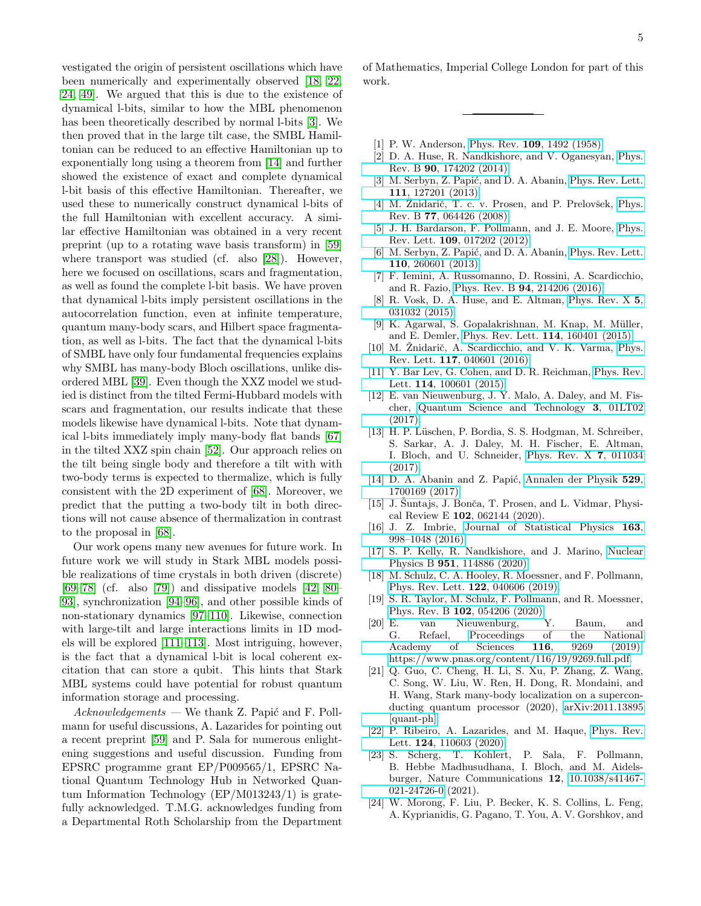vestigated the origin of persistent oscillations which have been numerically and experimentally observed [\[18,](#page-4-11) [22,](#page-4-14) [24,](#page-4-15) [49\]](#page-5-14). We argued that this is due to the existence of dynamical l-bits, similar to how the MBL phenomenon has been theoretically described by normal l-bits [\[3\]](#page-4-2). We then proved that in the large tilt case, the SMBL Hamiltonian can be reduced to an effective Hamiltonian up to exponentially long using a theorem from [\[14\]](#page-4-7) and further showed the existence of exact and complete dynamical l-bit basis of this effective Hamiltonian. Thereafter, we used these to numerically construct dynamical l-bits of the full Hamiltonian with excellent accuracy. A similar effective Hamiltonian was obtained in a very recent preprint (up to a rotating wave basis transform) in [\[59\]](#page-5-25) where transport was studied (cf. also [\[28\]](#page-5-24)). However, here we focused on oscillations, scars and fragmentation, as well as found the complete l-bit basis. We have proven that dynamical l-bits imply persistent oscillations in the autocorrelation function, even at infinite temperature, quantum many-body scars, and Hilbert space fragmentation, as well as l-bits. The fact that the dynamical l-bits of SMBL have only four fundamental frequencies explains why SMBL has many-body Bloch oscillations, unlike disordered MBL [\[39\]](#page-5-6). Even though the XXZ model we studied is distinct from the tilted Fermi-Hubbard models with scars and fragmentation, our results indicate that these models likewise have dynamical l-bits. Note that dynamical l-bits immediately imply many-body flat bands [\[67\]](#page-5-35) in the tilted XXZ spin chain [\[52\]](#page-5-17). Our approach relies on the tilt being single body and therefore a tilt with with two-body terms is expected to thermalize, which is fully consistent with the 2D experiment of [\[68\]](#page-5-36). Moreover, we predict that the putting a two-body tilt in both directions will not cause absence of thermalization in contrast to the proposal in [\[68\]](#page-5-36).

Our work opens many new avenues for future work. In future work we will study in Stark MBL models possible realizations of time crystals in both driven (discrete)  $[69–78]$  $[69–78]$  (cf. also [\[79\]](#page-6-1)) and dissipative models [\[42,](#page-5-9) [80–](#page-6-2) [93\]](#page-6-3), synchronization [\[94](#page-6-4)[–96\]](#page-6-5), and other possible kinds of non-stationary dynamics [\[97](#page-6-6)[–110\]](#page-6-7). Likewise, connection with large-tilt and large interactions limits in 1D models will be explored [\[111](#page-6-8)[–113\]](#page-6-9). Most intriguing, however, is the fact that a dynamical l-bit is local coherent excitation that can store a qubit. This hints that Stark MBL systems could have potential for robust quantum information storage and processing.

 $Acknowledgements$  — We thank Z. Papić and F. Pollmann for useful discussions, A. Lazarides for pointing out a recent preprint [\[59\]](#page-5-25) and P. Sala for numerous enlightening suggestions and useful discussion. Funding from EPSRC programme grant EP/P009565/1, EPSRC National Quantum Technology Hub in Networked Quantum Information Technology (EP/M013243/1) is gratefully acknowledged. T.M.G. acknowledges funding from a Departmental Roth Scholarship from the Department of Mathematics, Imperial College London for part of this work.

- <span id="page-4-0"></span>[1] P. W. Anderson, Phys. Rev. **109**[, 1492 \(1958\).](https://doi.org/10.1103/PhysRev.109.1492)
- <span id="page-4-1"></span>[2] D. A. Huse, R. Nandkishore, and V. Oganesyan, [Phys.](https://doi.org/10.1103/PhysRevB.90.174202) Rev. B 90[, 174202 \(2014\).](https://doi.org/10.1103/PhysRevB.90.174202)
- <span id="page-4-2"></span>[3] M. Serbyn, Z. Papić, and D. A. Abanin, [Phys. Rev. Lett.](https://doi.org/10.1103/PhysRevLett.111.127201) 111[, 127201 \(2013\).](https://doi.org/10.1103/PhysRevLett.111.127201)
- <span id="page-4-3"></span>[4] M. Žnidarič, T. c. v. Prosen, and P. Prelovšek, [Phys.](https://doi.org/10.1103/PhysRevB.77.064426) Rev. B 77[, 064426 \(2008\).](https://doi.org/10.1103/PhysRevB.77.064426)
- [5] J. H. Bardarson, F. Pollmann, and J. E. Moore, [Phys.](https://doi.org/10.1103/PhysRevLett.109.017202) Rev. Lett. 109[, 017202 \(2012\).](https://doi.org/10.1103/PhysRevLett.109.017202)
- [6] M. Serbyn, Z. Papić, and D. A. Abanin, [Phys. Rev. Lett.](https://doi.org/10.1103/PhysRevLett.110.260601) 110[, 260601 \(2013\).](https://doi.org/10.1103/PhysRevLett.110.260601)
- <span id="page-4-4"></span>[7] F. Iemini, A. Russomanno, D. Rossini, A. Scardicchio, and R. Fazio, Phys. Rev. B 94[, 214206 \(2016\).](https://doi.org/10.1103/PhysRevB.94.214206)
- <span id="page-4-5"></span>[8] R. Vosk, D. A. Huse, and E. Altman, [Phys. Rev. X](https://doi.org/10.1103/PhysRevX.5.031032) 5, [031032 \(2015\).](https://doi.org/10.1103/PhysRevX.5.031032)
- [9] K. Agarwal, S. Gopalakrishnan, M. Knap, M. Müller, and E. Demler, [Phys. Rev. Lett.](https://doi.org/10.1103/PhysRevLett.114.160401) 114, 160401 (2015).
- [10] M. Žnidarič, A. Scardicchio, and V. K. Varma, [Phys.](https://doi.org/10.1103/PhysRevLett.117.040601) Rev. Lett. 117[, 040601 \(2016\).](https://doi.org/10.1103/PhysRevLett.117.040601)
- [11] Y. Bar Lev, G. Cohen, and D. R. Reichman, [Phys. Rev.](https://doi.org/10.1103/PhysRevLett.114.100601) Lett. 114[, 100601 \(2015\).](https://doi.org/10.1103/PhysRevLett.114.100601)
- [12] E. van Nieuwenburg, J. Y. Malo, A. Daley, and M. Fischer, [Quantum Science and Technology](https://doi.org/10.1088/2058-9565/aa9a02) 3, 01LT02 [\(2017\).](https://doi.org/10.1088/2058-9565/aa9a02)
- <span id="page-4-6"></span>[13] H. P. Lüschen, P. Bordia, S. S. Hodgman, M. Schreiber, S. Sarkar, A. J. Daley, M. H. Fischer, E. Altman, I. Bloch, and U. Schneider, [Phys. Rev. X](https://doi.org/10.1103/PhysRevX.7.011034) 7, 011034 [\(2017\).](https://doi.org/10.1103/PhysRevX.7.011034)
- <span id="page-4-7"></span>[14] D. A. Abanin and Z. Papić, [Annalen der Physik](https://doi.org/https://doi.org/10.1002/andp.201700169) 529, [1700169 \(2017\).](https://doi.org/https://doi.org/10.1002/andp.201700169)
- <span id="page-4-8"></span>[15] J. Suntajs, J. Bonča, T. Prosen, and L. Vidmar, Physical Review E 102, 062144 (2020).
- <span id="page-4-9"></span>[16] J. Z. Imbrie, [Journal of Statistical Physics](https://doi.org/10.1007/s10955-016-1508-x) 163, [998–1048 \(2016\).](https://doi.org/10.1007/s10955-016-1508-x)
- <span id="page-4-10"></span>[17] S. P. Kelly, R. Nandkishore, and J. Marino, [Nuclear](https://doi.org/10.1016/j.nuclphysb.2019.114886) Physics B 951[, 114886 \(2020\).](https://doi.org/10.1016/j.nuclphysb.2019.114886)
- <span id="page-4-11"></span>[18] M. Schulz, C. A. Hooley, R. Moessner, and F. Pollmann, [Phys. Rev. Lett.](https://doi.org/10.1103/PhysRevLett.122.040606) 122, 040606 (2019).
- <span id="page-4-13"></span>[19] S. R. Taylor, M. Schulz, F. Pollmann, and R. Moessner, Phys. Rev. B 102[, 054206 \(2020\).](https://doi.org/10.1103/PhysRevB.102.054206)
- [20] E. van Nieuwenburg, Y. Baum, and G. Refael, [Proceedings of the National](https://doi.org/10.1073/pnas.1819316116) [Academy of Sciences](https://doi.org/10.1073/pnas.1819316116) 116, 9269 (2019), [https://www.pnas.org/content/116/19/9269.full.pdf.](https://arxiv.org/abs/https://www.pnas.org/content/116/19/9269.full.pdf)
- <span id="page-4-12"></span>[21] Q. Guo, C. Cheng, H. Li, S. Xu, P. Zhang, Z. Wang, C. Song, W. Liu, W. Ren, H. Dong, R. Mondaini, and H. Wang, Stark many-body localization on a superconducting quantum processor (2020), [arXiv:2011.13895](https://arxiv.org/abs/2011.13895) [\[quant-ph\].](https://arxiv.org/abs/2011.13895)
- <span id="page-4-14"></span>[22] P. Ribeiro, A. Lazarides, and M. Haque, [Phys. Rev.](https://doi.org/10.1103/PhysRevLett.124.110603) Lett. 124[, 110603 \(2020\).](https://doi.org/10.1103/PhysRevLett.124.110603)
- <span id="page-4-16"></span>[23] S. Scherg, T. Kohlert, P. Sala, F. Pollmann, B. Hebbe Madhusudhana, I. Bloch, and M. Aidelsburger, Nature Communications 12, [10.1038/s41467-](https://doi.org/10.1038/s41467-021-24726-0) [021-24726-0](https://doi.org/10.1038/s41467-021-24726-0) (2021).
- <span id="page-4-15"></span>[24] W. Morong, F. Liu, P. Becker, K. S. Collins, L. Feng, A. Kyprianidis, G. Pagano, T. You, A. V. Gorshkov, and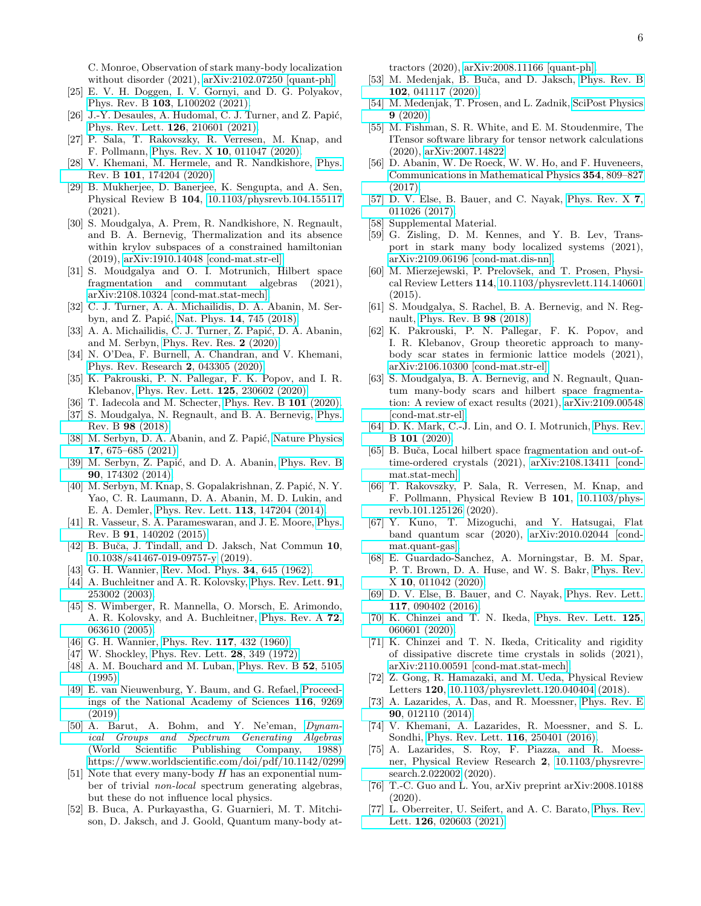C. Monroe, Observation of stark many-body localization without disorder (2021), [arXiv:2102.07250 \[quant-ph\].](https://arxiv.org/abs/2102.07250)

- <span id="page-5-0"></span>[25] E. V. H. Doggen, I. V. Gornyi, and D. G. Polyakov, Phys. Rev. B 103[, L100202 \(2021\).](https://doi.org/10.1103/PhysRevB.103.L100202)
- <span id="page-5-1"></span>[ $26$ ] J.-Y. Desaules, A. Hudomal, C. J. Turner, and Z. Papić, [Phys. Rev. Lett.](https://doi.org/10.1103/PhysRevLett.126.210601) **126**, 210601 (2021).
- <span id="page-5-2"></span>[27] P. Sala, T. Rakovszky, R. Verresen, M. Knap, and F. Pollmann, Phys. Rev. X 10[, 011047 \(2020\).](https://doi.org/10.1103/PhysRevX.10.011047)
- <span id="page-5-24"></span>[28] V. Khemani, M. Hermele, and R. Nandkishore, [Phys.](https://doi.org/10.1103/PhysRevB.101.174204) Rev. B 101[, 174204 \(2020\).](https://doi.org/10.1103/PhysRevB.101.174204)
- [29] B. Mukherjee, D. Banerjee, K. Sengupta, and A. Sen, Physical Review B 104, [10.1103/physrevb.104.155117](https://doi.org/10.1103/physrevb.104.155117) (2021).
- [30] S. Moudgalya, A. Prem, R. Nandkishore, N. Regnault, and B. A. Bernevig, Thermalization and its absence within krylov subspaces of a constrained hamiltonian (2019), [arXiv:1910.14048 \[cond-mat.str-el\].](https://arxiv.org/abs/1910.14048)
- <span id="page-5-3"></span>[31] S. Moudgalya and O. I. Motrunich, Hilbert space fragmentation and commutant algebras (2021), [arXiv:2108.10324 \[cond-mat.stat-mech\].](https://arxiv.org/abs/2108.10324)
- <span id="page-5-4"></span>[32] C. J. Turner, A. A. Michailidis, D. A. Abanin, M. Ser-byn, and Z. Papić, Nat. Phys. 14[, 745 \(2018\).](https://doi.org/10.1038/s41567-018-0137-5)
- [33] A. A. Michailidis, C. J. Turner, Z. Papić, D. A. Abanin, and M. Serbyn, [Phys. Rev. Res.](http://dx.doi.org/10.1103/PhysRevResearch.2.022065) 2 (2020).
- <span id="page-5-29"></span>[34] N. O'Dea, F. Burnell, A. Chandran, and V. Khemani, [Phys. Rev. Research](https://doi.org/10.1103/PhysRevResearch.2.043305) 2, 043305 (2020).
- <span id="page-5-30"></span>[35] K. Pakrouski, P. N. Pallegar, F. K. Popov, and I. R. Klebanov, [Phys. Rev. Lett.](https://doi.org/10.1103/PhysRevLett.125.230602) 125, 230602 (2020).
- [36] T. Iadecola and M. Schecter, [Phys. Rev. B](http://dx.doi.org/10.1103/PhysRevB.101.024306) **101** (2020).
- [37] S. Moudgalya, N. Regnault, and B. A. Bernevig, [Phys.](http://dx.doi.org/10.1103/PhysRevB.98.235156) [Rev. B](http://dx.doi.org/10.1103/PhysRevB.98.235156) 98 (2018).
- <span id="page-5-5"></span>[38] M. Serbyn, D. A. Abanin, and Z. Papić, [Nature Physics](https://doi.org/10.1038/s41567-021-01230-2) 17[, 675–685 \(2021\).](https://doi.org/10.1038/s41567-021-01230-2)
- <span id="page-5-6"></span>[39] M. Serbyn, Z. Papić, and D. A. Abanin, [Phys. Rev. B](https://doi.org/10.1103/PhysRevB.90.174302) 90[, 174302 \(2014\).](https://doi.org/10.1103/PhysRevB.90.174302)
- <span id="page-5-7"></span>[40] M. Serbyn, M. Knap, S. Gopalakrishnan, Z. Papić, N. Y. Yao, C. R. Laumann, D. A. Abanin, M. D. Lukin, and E. A. Demler, [Phys. Rev. Lett.](https://doi.org/10.1103/PhysRevLett.113.147204) 113, 147204 (2014).
- <span id="page-5-8"></span>[41] R. Vasseur, S. A. Parameswaran, and J. E. Moore, [Phys.](https://doi.org/10.1103/PhysRevB.91.140202) Rev. B 91[, 140202 \(2015\).](https://doi.org/10.1103/PhysRevB.91.140202)
- <span id="page-5-9"></span>[42] B. Buča, J. Tindall, and D. Jaksch, Nat Commun 10, [10.1038/s41467-019-09757-y](https://doi.org/10.1038/s41467-019-09757-y) (2019).
- <span id="page-5-10"></span>[43] G. H. Wannier, [Rev. Mod. Phys.](https://doi.org/10.1103/RevModPhys.34.645) **34**, 645 (1962).
- <span id="page-5-38"></span>[44] A. Buchleitner and A. R. Kolovsky, [Phys. Rev. Lett.](https://doi.org/10.1103/PhysRevLett.91.253002) **91**, [253002 \(2003\).](https://doi.org/10.1103/PhysRevLett.91.253002)
- <span id="page-5-11"></span>[45] S. Wimberger, R. Mannella, O. Morsch, E. Arimondo, A. R. Kolovsky, and A. Buchleitner, [Phys. Rev. A](https://doi.org/10.1103/PhysRevA.72.063610) 72, [063610 \(2005\).](https://doi.org/10.1103/PhysRevA.72.063610)
- <span id="page-5-12"></span>[46] G. H. Wannier, Phys. Rev. **117**[, 432 \(1960\).](https://doi.org/10.1103/PhysRev.117.432)
- [47] W. Shockley, [Phys. Rev. Lett.](https://doi.org/10.1103/PhysRevLett.28.349) **28**, 349 (1972).
- <span id="page-5-13"></span>[48] A. M. Bouchard and M. Luban, [Phys. Rev. B](https://doi.org/10.1103/PhysRevB.52.5105) 52, 5105 [\(1995\).](https://doi.org/10.1103/PhysRevB.52.5105)
- <span id="page-5-14"></span>[49] E. van Nieuwenburg, Y. Baum, and G. Refael, [Proceed](https://doi.org/10.1073/pnas.1819316116)[ings of the National Academy of Sciences](https://doi.org/10.1073/pnas.1819316116) 116, 9269 [\(2019\).](https://doi.org/10.1073/pnas.1819316116)
- <span id="page-5-15"></span>[50] A. Barut, A. Bohm, and Y. Ne'eman, [Dynam](https://doi.org/10.1142/0299)[ical Groups and Spectrum Generating Algebras](https://doi.org/10.1142/0299) (World Scientific Publishing Company, 1988) [https://www.worldscientific.com/doi/pdf/10.1142/0299.](https://arxiv.org/abs/https://www.worldscientific.com/doi/pdf/10.1142/0299)
- <span id="page-5-16"></span>[51] Note that every many-body H has an exponential number of trivial non-local spectrum generating algebras, but these do not influence local physics.
- <span id="page-5-17"></span>[52] B. Buca, A. Purkayastha, G. Guarnieri, M. T. Mitchison, D. Jaksch, and J. Goold, Quantum many-body at-

tractors (2020), [arXiv:2008.11166 \[quant-ph\].](https://arxiv.org/abs/2008.11166)

- <span id="page-5-18"></span>[53] M. Medenjak, B. Buča, and D. Jaksch, [Phys. Rev. B](https://doi.org/10.1103/PhysRevB.102.041117) 102[, 041117 \(2020\).](https://doi.org/10.1103/PhysRevB.102.041117)
- <span id="page-5-19"></span>[54] M. Medenjak, T. Prosen, and L. Zadnik, [SciPost Physics](http://dx.doi.org/10.21468/SciPostPhys.9.1.003) 9 [\(2020\).](http://dx.doi.org/10.21468/SciPostPhys.9.1.003)
- <span id="page-5-20"></span>[55] M. Fishman, S. R. White, and E. M. Stoudenmire, The ITensor software library for tensor network calculations (2020), [arXiv:2007.14822.](https://arxiv.org/abs/2007.14822)
- <span id="page-5-21"></span>[56] D. Abanin, W. De Roeck, W. W. Ho, and F. Huveneers, [Communications in Mathematical Physics](https://doi.org/10.1007/s00220-017-2930-x) 354, 809–827 [\(2017\).](https://doi.org/10.1007/s00220-017-2930-x)
- <span id="page-5-22"></span>[57] D. V. Else, B. Bauer, and C. Nayak, [Phys. Rev. X](https://doi.org/10.1103/PhysRevX.7.011026) 7, [011026 \(2017\).](https://doi.org/10.1103/PhysRevX.7.011026)
- <span id="page-5-23"></span>[58] Supplemental Material.
- <span id="page-5-25"></span>[59] G. Zisling, D. M. Kennes, and Y. B. Lev, Transport in stark many body localized systems (2021), [arXiv:2109.06196 \[cond-mat.dis-nn\].](https://arxiv.org/abs/2109.06196)
- <span id="page-5-26"></span>[60] M. Mierzejewski, P. Prelovšek, and T. Prosen, Physical Review Letters 114, [10.1103/physrevlett.114.140601](https://doi.org/10.1103/physrevlett.114.140601) (2015).
- <span id="page-5-27"></span>[61] S. Moudgalya, S. Rachel, B. A. Bernevig, and N. Regnault, [Phys. Rev. B](http://dx.doi.org/10.1103/PhysRevB.98.235155) 98 (2018).
- <span id="page-5-28"></span>[62] K. Pakrouski, P. N. Pallegar, F. K. Popov, and I. R. Klebanov, Group theoretic approach to manybody scar states in fermionic lattice models (2021), [arXiv:2106.10300 \[cond-mat.str-el\].](https://arxiv.org/abs/2106.10300)
- <span id="page-5-31"></span>[63] S. Moudgalya, B. A. Bernevig, and N. Regnault, Quantum many-body scars and hilbert space fragmentation: A review of exact results (2021), [arXiv:2109.00548](https://arxiv.org/abs/2109.00548) [\[cond-mat.str-el\].](https://arxiv.org/abs/2109.00548)
- <span id="page-5-32"></span>[64] D. K. Mark, C.-J. Lin, and O. I. Motrunich, [Phys. Rev.](http://dx.doi.org/10.1103/PhysRevB.101.195131) B 101 [\(2020\).](http://dx.doi.org/10.1103/PhysRevB.101.195131)
- <span id="page-5-33"></span>[65] B. Buča, Local hilbert space fragmentation and out-oftime-ordered crystals (2021), [arXiv:2108.13411 \[cond](https://arxiv.org/abs/2108.13411)[mat.stat-mech\].](https://arxiv.org/abs/2108.13411)
- <span id="page-5-34"></span>[66] T. Rakovszky, P. Sala, R. Verresen, M. Knap, and F. Pollmann, Physical Review B 101, [10.1103/phys](https://doi.org/10.1103/physrevb.101.125126)[revb.101.125126](https://doi.org/10.1103/physrevb.101.125126) (2020).
- <span id="page-5-35"></span>[67] Y. Kuno, T. Mizoguchi, and Y. Hatsugai, Flat band quantum scar (2020), [arXiv:2010.02044 \[cond](https://arxiv.org/abs/2010.02044)[mat.quant-gas\].](https://arxiv.org/abs/2010.02044)
- <span id="page-5-36"></span>[68] E. Guardado-Sanchez, A. Morningstar, B. M. Spar, P. T. Brown, D. A. Huse, and W. S. Bakr, [Phys. Rev.](https://doi.org/10.1103/PhysRevX.10.011042) X 10[, 011042 \(2020\).](https://doi.org/10.1103/PhysRevX.10.011042)
- <span id="page-5-37"></span>[69] D. V. Else, B. Bauer, and C. Nayak, [Phys. Rev. Lett.](https://doi.org/10.1103/PhysRevLett.117.090402) 117[, 090402 \(2016\).](https://doi.org/10.1103/PhysRevLett.117.090402)
- [70] K. Chinzei and T. N. Ikeda, [Phys. Rev. Lett.](https://doi.org/10.1103/PhysRevLett.125.060601) 125, [060601 \(2020\).](https://doi.org/10.1103/PhysRevLett.125.060601)
- [71] K. Chinzei and T. N. Ikeda, Criticality and rigidity of dissipative discrete time crystals in solids (2021), [arXiv:2110.00591 \[cond-mat.stat-mech\].](https://arxiv.org/abs/2110.00591)
- [72] Z. Gong, R. Hamazaki, and M. Ueda, Physical Review Letters 120, [10.1103/physrevlett.120.040404](https://doi.org/10.1103/physrevlett.120.040404) (2018).
- [73] A. Lazarides, A. Das, and R. Moessner, [Phys. Rev. E](https://doi.org/10.1103/PhysRevE.90.012110) 90[, 012110 \(2014\).](https://doi.org/10.1103/PhysRevE.90.012110)
- [74] V. Khemani, A. Lazarides, R. Moessner, and S. L. Sondhi, [Phys. Rev. Lett.](https://doi.org/10.1103/PhysRevLett.116.250401) 116, 250401 (2016).
- [75] A. Lazarides, S. Roy, F. Piazza, and R. Moessner, Physical Review Research 2, [10.1103/physrevre](https://doi.org/10.1103/physrevresearch.2.022002)[search.2.022002](https://doi.org/10.1103/physrevresearch.2.022002) (2020).
- [76] T.-C. Guo and L. You, arXiv preprint arXiv:2008.10188 (2020).
- [77] L. Oberreiter, U. Seifert, and A. C. Barato, [Phys. Rev.](https://doi.org/10.1103/PhysRevLett.126.020603) Lett. 126[, 020603 \(2021\).](https://doi.org/10.1103/PhysRevLett.126.020603)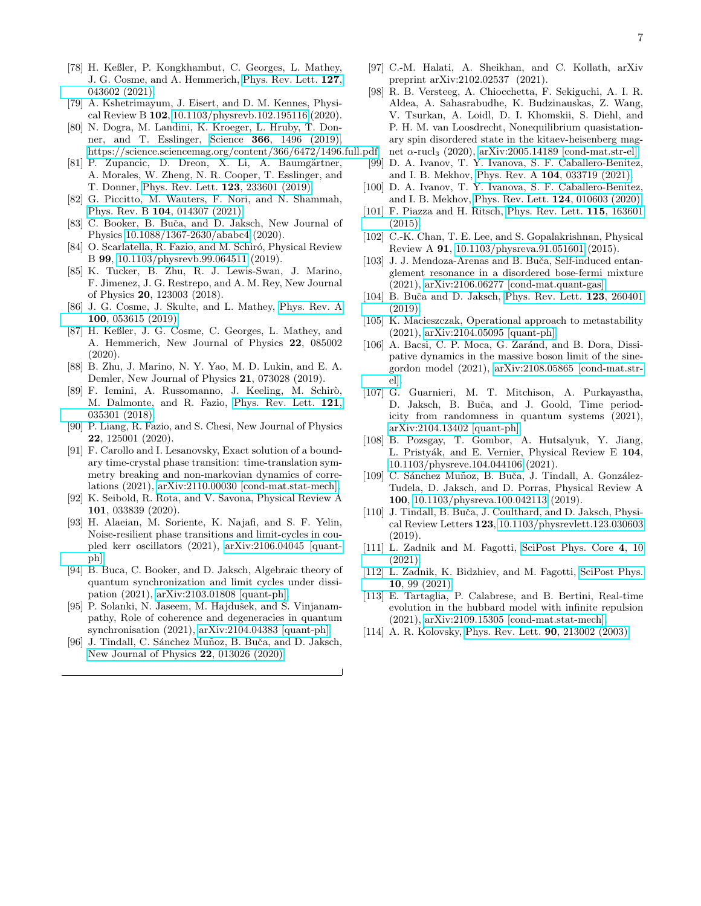- 
- <span id="page-6-0"></span>[78] H. Keßler, P. Kongkhambut, C. Georges, L. Mathey, J. G. Cosme, and A. Hemmerich, [Phys. Rev. Lett.](https://doi.org/10.1103/PhysRevLett.127.043602) 127, [043602 \(2021\).](https://doi.org/10.1103/PhysRevLett.127.043602)
- <span id="page-6-1"></span>[79] A. Kshetrimayum, J. Eisert, and D. M. Kennes, Physical Review B 102, [10.1103/physrevb.102.195116](https://doi.org/10.1103/physrevb.102.195116) (2020).
- <span id="page-6-2"></span>[80] N. Dogra, M. Landini, K. Kroeger, L. Hruby, T. Donner, and T. Esslinger, Science 366[, 1496 \(2019\),](https://doi.org/10.1126/science.aaw4465) [https://science.sciencemag.org/content/366/6472/1496.full.pdf.](https://arxiv.org/abs/https://science.sciencemag.org/content/366/6472/1496.full.pdf)
- [81] P. Zupancic, D. Dreon, X. Li, A. Baumgärtner, A. Morales, W. Zheng, N. R. Cooper, T. Esslinger, and T. Donner, [Phys. Rev. Lett.](https://doi.org/10.1103/PhysRevLett.123.233601) 123, 233601 (2019).
- [82] G. Piccitto, M. Wauters, F. Nori, and N. Shammah, Phys. Rev. B 104[, 014307 \(2021\).](https://doi.org/10.1103/PhysRevB.104.014307)
- C. Booker, B. Buča, and D. Jaksch, New Journal of Physics [10.1088/1367-2630/ababc4](https://doi.org/10.1088/1367-2630/ababc4) (2020).
- [84] O. Scarlatella, R. Fazio, and M. Schiró, Physical Review B 99, [10.1103/physrevb.99.064511](https://doi.org/10.1103/physrevb.99.064511) (2019).
- [85] K. Tucker, B. Zhu, R. J. Lewis-Swan, J. Marino, F. Jimenez, J. G. Restrepo, and A. M. Rey, New Journal of Physics 20, 123003 (2018).
- [86] J. G. Cosme, J. Skulte, and L. Mathey, [Phys. Rev. A](https://doi.org/10.1103/PhysRevA.100.053615) 100[, 053615 \(2019\).](https://doi.org/10.1103/PhysRevA.100.053615)
- [87] H. Keßler, J. G. Cosme, C. Georges, L. Mathey, and A. Hemmerich, New Journal of Physics 22, 085002 (2020).
- [88] B. Zhu, J. Marino, N. Y. Yao, M. D. Lukin, and E. A. Demler, New Journal of Physics 21, 073028 (2019).
- [89] F. Iemini, A. Russomanno, J. Keeling, M. Schirò, M. Dalmonte, and R. Fazio, [Phys. Rev. Lett.](https://doi.org/10.1103/PhysRevLett.121.035301) 121, [035301 \(2018\).](https://doi.org/10.1103/PhysRevLett.121.035301)
- [90] P. Liang, R. Fazio, and S. Chesi, New Journal of Physics 22, 125001 (2020).
- [91] F. Carollo and I. Lesanovsky, Exact solution of a boundary time-crystal phase transition: time-translation symmetry breaking and non-markovian dynamics of correlations (2021), [arXiv:2110.00030 \[cond-mat.stat-mech\].](https://arxiv.org/abs/2110.00030)
- [92] K. Seibold, R. Rota, and V. Savona, Physical Review A 101, 033839 (2020).
- <span id="page-6-3"></span>[93] H. Alaeian, M. Soriente, K. Najafi, and S. F. Yelin, Noise-resilient phase transitions and limit-cycles in coupled kerr oscillators (2021), [arXiv:2106.04045 \[quant](https://arxiv.org/abs/2106.04045)[ph\].](https://arxiv.org/abs/2106.04045)
- <span id="page-6-4"></span>[94] B. Buca, C. Booker, and D. Jaksch, Algebraic theory of quantum synchronization and limit cycles under dissipation (2021), [arXiv:2103.01808 \[quant-ph\].](https://arxiv.org/abs/2103.01808)
- [95] P. Solanki, N. Jaseem, M. Hajdušek, and S. Vinjanampathy, Role of coherence and degeneracies in quantum synchronisation (2021), [arXiv:2104.04383 \[quant-ph\].](https://arxiv.org/abs/2104.04383)
- <span id="page-6-5"></span>[96] J. Tindall, C. Sánchez Muñoz, B. Buča, and D. Jaksch, [New Journal of Physics](https://doi.org/10.1088/1367-2630/ab60f5) 22, 013026 (2020).
- <span id="page-6-6"></span>[97] C.-M. Halati, A. Sheikhan, and C. Kollath, arXiv preprint arXiv:2102.02537 (2021).
- [98] R. B. Versteeg, A. Chiocchetta, F. Sekiguchi, A. I. R. Aldea, A. Sahasrabudhe, K. Budzinauskas, Z. Wang, V. Tsurkan, A. Loidl, D. I. Khomskii, S. Diehl, and P. H. M. van Loosdrecht, Nonequilibrium quasistationary spin disordered state in the kitaev-heisenberg magnet  $\alpha$ -rucl<sub>3</sub> (2020), [arXiv:2005.14189 \[cond-mat.str-el\].](https://arxiv.org/abs/2005.14189)
- [99] D. A. Ivanov, T. Y. Ivanova, S. F. Caballero-Benitez, and I. B. Mekhov, Phys. Rev. A 104[, 033719 \(2021\).](https://doi.org/10.1103/PhysRevA.104.033719)
- [100] D. A. Ivanov, T. Y. Ivanova, S. F. Caballero-Benitez, and I. B. Mekhov, [Phys. Rev. Lett.](https://doi.org/10.1103/PhysRevLett.124.010603) 124, 010603 (2020).
- [101] F. Piazza and H. Ritsch, [Phys. Rev. Lett.](https://doi.org/10.1103/PhysRevLett.115.163601) 115, 163601 [\(2015\).](https://doi.org/10.1103/PhysRevLett.115.163601)
- [102] C.-K. Chan, T. E. Lee, and S. Gopalakrishnan, Physical Review A 91, [10.1103/physreva.91.051601](https://doi.org/10.1103/physreva.91.051601) (2015).
- [103] J. J. Mendoza-Arenas and B. Buča, Self-induced entanglement resonance in a disordered bose-fermi mixture (2021), [arXiv:2106.06277 \[cond-mat.quant-gas\].](https://arxiv.org/abs/2106.06277)
- [104] B. Buča and D. Jaksch, [Phys. Rev. Lett.](https://doi.org/10.1103/PhysRevLett.123.260401) 123, 260401 [\(2019\).](https://doi.org/10.1103/PhysRevLett.123.260401)
- [105] K. Macieszczak, Operational approach to metastability (2021), [arXiv:2104.05095 \[quant-ph\].](https://arxiv.org/abs/2104.05095)
- [106] A. Bacsi, C. P. Moca, G. Zaránd, and B. Dora, Dissipative dynamics in the massive boson limit of the sinegordon model (2021), [arXiv:2108.05865 \[cond-mat.str](https://arxiv.org/abs/2108.05865)[el\].](https://arxiv.org/abs/2108.05865)
- [107] G. Guarnieri, M. T. Mitchison, A. Purkayastha, D. Jaksch, B. Buˇca, and J. Goold, Time periodicity from randomness in quantum systems (2021), [arXiv:2104.13402 \[quant-ph\].](https://arxiv.org/abs/2104.13402)
- [108] B. Pozsgay, T. Gombor, A. Hutsalyuk, Y. Jiang, L. Pristyák, and E. Vernier, Physical Review E 104, [10.1103/physreve.104.044106](https://doi.org/10.1103/physreve.104.044106) (2021).
- [109] C. Sánchez Muñoz, B. Buča, J. Tindall, A. González-Tudela, D. Jaksch, and D. Porras, Physical Review A 100, [10.1103/physreva.100.042113](https://doi.org/10.1103/physreva.100.042113) (2019).
- <span id="page-6-7"></span>[110] J. Tindall, B. Buča, J. Coulthard, and D. Jaksch, Physical Review Letters 123, [10.1103/physrevlett.123.030603](https://doi.org/10.1103/physrevlett.123.030603) (2019).
- <span id="page-6-8"></span>[111] L. Zadnik and M. Fagotti, [SciPost Phys. Core](https://doi.org/10.21468/SciPostPhysCore.4.2.010) 4, 10 [\(2021\).](https://doi.org/10.21468/SciPostPhysCore.4.2.010)
- [112] L. Zadnik, K. Bidzhiev, and M. Fagotti, [SciPost Phys.](https://doi.org/10.21468/SciPostPhys.10.5.099) 10[, 99 \(2021\).](https://doi.org/10.21468/SciPostPhys.10.5.099)
- <span id="page-6-9"></span>[113] E. Tartaglia, P. Calabrese, and B. Bertini, Real-time evolution in the hubbard model with infinite repulsion (2021), [arXiv:2109.15305 \[cond-mat.stat-mech\].](https://arxiv.org/abs/2109.15305)
- <span id="page-6-10"></span>[114] A. R. Kolovsky, [Phys. Rev. Lett.](https://doi.org/10.1103/PhysRevLett.90.213002) **90**, 213002 (2003).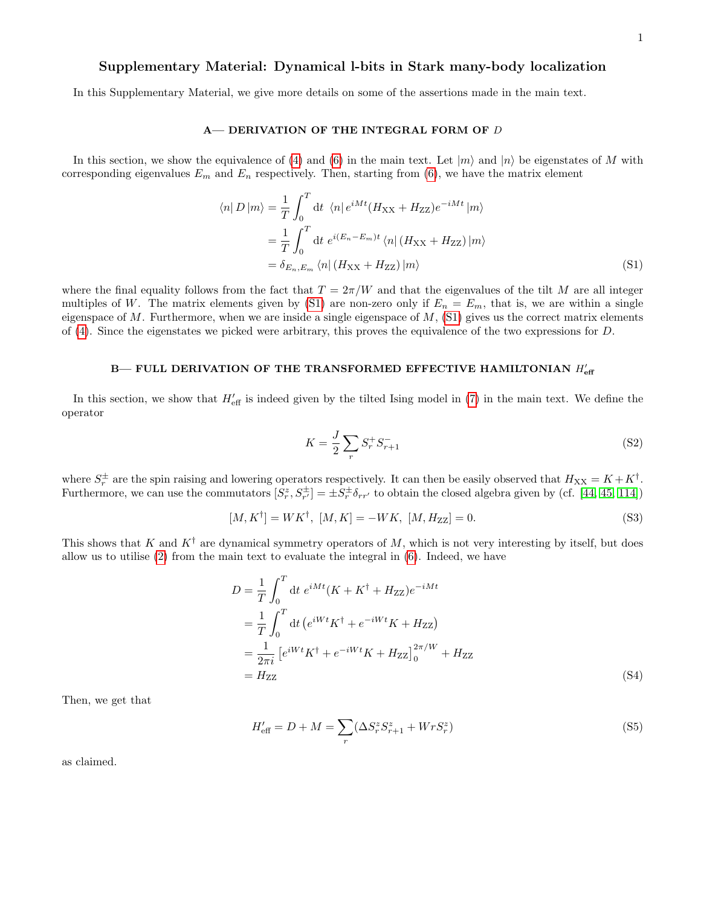## Supplementary Material: Dynamical l-bits in Stark many-body localization

In this Supplementary Material, we give more details on some of the assertions made in the main text.

### A— DERIVATION OF THE INTEGRAL FORM OF D

In this section, we show the equivalence of [\(4\)](#page-2-2) and [\(6\)](#page-2-3) in the main text. Let  $|m\rangle$  and  $|n\rangle$  be eigenstates of M with corresponding eigenvalues  $E_m$  and  $E_n$  respectively. Then, starting from [\(6\)](#page-2-3), we have the matrix element

$$
\langle n| D | m \rangle = \frac{1}{T} \int_0^T dt \langle n| e^{iMt} (H_{XX} + H_{ZZ}) e^{-iMt} | m \rangle
$$
  

$$
= \frac{1}{T} \int_0^T dt \; e^{i(E_n - E_m)t} \langle n| (H_{XX} + H_{ZZ}) | m \rangle
$$
  

$$
= \delta_{E_n, E_m} \langle n| (H_{XX} + H_{ZZ}) | m \rangle
$$
 (S1)

where the final equality follows from the fact that  $T = 2\pi/W$  and that the eigenvalues of the tilt M are all integer multiples of W. The matrix elements given by [\(S1\)](#page-0-0) are non-zero only if  $E_n = E_m$ , that is, we are within a single eigenspace of  $M$ . Furthermore, when we are inside a single eigenspace of  $M$ , [\(S1\)](#page-0-0) gives us the correct matrix elements of [\(4\)](#page-2-2). Since the eigenstates we picked were arbitrary, this proves the equivalence of the two expressions for D.

# B— FULL DERIVATION OF THE TRANSFORMED EFFECTIVE HAMILTONIAN  $H_{\text{eff}}^{\prime}$

In this section, we show that  $H'_{\text{eff}}$  is indeed given by the tilted Ising model in [\(7\)](#page-2-0) in the main text. We define the operator

$$
K = \frac{J}{2} \sum_{r} S_r^+ S_{r+1}^- \tag{S2}
$$

where  $S_r^{\pm}$  are the spin raising and lowering operators respectively. It can then be easily observed that  $H_{XX} = K + K^{\dagger}$ . Furthermore, we can use the commutators  $[S_r^z, S_{r'}^{\pm}] = \pm S_r^{\pm} \delta_{rr'}$  to obtain the closed algebra given by (cf. [\[44,](#page-5-38) [45,](#page-5-11) [114\]](#page-6-10))

$$
[M, K^{\dagger}] = W K^{\dagger}, [M, K] = -W K, [M, H_{ZZ}] = 0.
$$
\n(S3)

This shows that K and  $K^{\dagger}$  are dynamical symmetry operators of M, which is not very interesting by itself, but does allow us to utilise [\(2\)](#page-1-0) from the main text to evaluate the integral in [\(6\)](#page-2-3). Indeed, we have

$$
D = \frac{1}{T} \int_0^T dt \ e^{iMt} (K + K^{\dagger} + H_{ZZ}) e^{-iMt} = \frac{1}{T} \int_0^T dt \ (e^{iWt} K^{\dagger} + e^{-iWt} K + H_{ZZ}) = \frac{1}{2\pi i} \left[ e^{iWt} K^{\dagger} + e^{-iWt} K + H_{ZZ} \right]_0^{2\pi/W} + H_{ZZ} = H_{ZZ}
$$
(S4)

Then, we get that

$$
H'_{\text{eff}} = D + M = \sum_{r} (\Delta S^z_r S^z_{r+1} + Wr S^z_r)
$$
\n(S5)

as claimed.